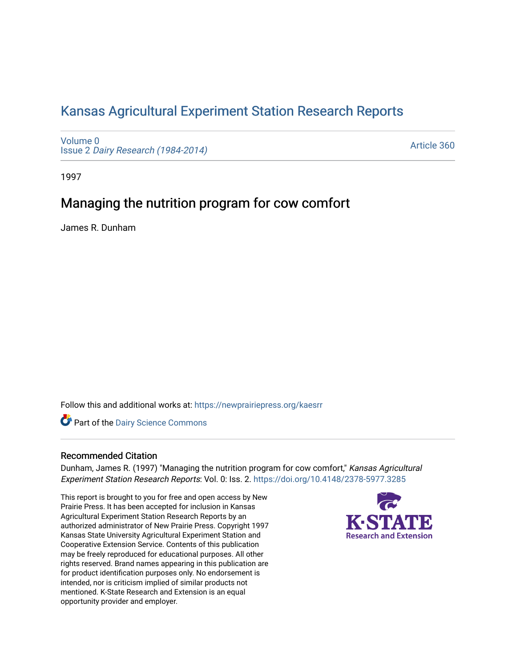## [Kansas Agricultural Experiment Station Research Reports](https://newprairiepress.org/kaesrr)

[Volume 0](https://newprairiepress.org/kaesrr/vol0) Issue 2 [Dairy Research \(1984-2014\)](https://newprairiepress.org/kaesrr/vol0/iss2) 

[Article 360](https://newprairiepress.org/kaesrr/vol0/iss2/360) 

1997

# Managing the nutrition program for cow comfort

James R. Dunham

Follow this and additional works at: [https://newprairiepress.org/kaesrr](https://newprairiepress.org/kaesrr?utm_source=newprairiepress.org%2Fkaesrr%2Fvol0%2Fiss2%2F360&utm_medium=PDF&utm_campaign=PDFCoverPages) 

**Part of the Dairy Science Commons** 

### Recommended Citation

Dunham, James R. (1997) "Managing the nutrition program for cow comfort," Kansas Agricultural Experiment Station Research Reports: Vol. 0: Iss. 2. <https://doi.org/10.4148/2378-5977.3285>

This report is brought to you for free and open access by New Prairie Press. It has been accepted for inclusion in Kansas Agricultural Experiment Station Research Reports by an authorized administrator of New Prairie Press. Copyright 1997 Kansas State University Agricultural Experiment Station and Cooperative Extension Service. Contents of this publication may be freely reproduced for educational purposes. All other rights reserved. Brand names appearing in this publication are for product identification purposes only. No endorsement is intended, nor is criticism implied of similar products not mentioned. K-State Research and Extension is an equal opportunity provider and employer.

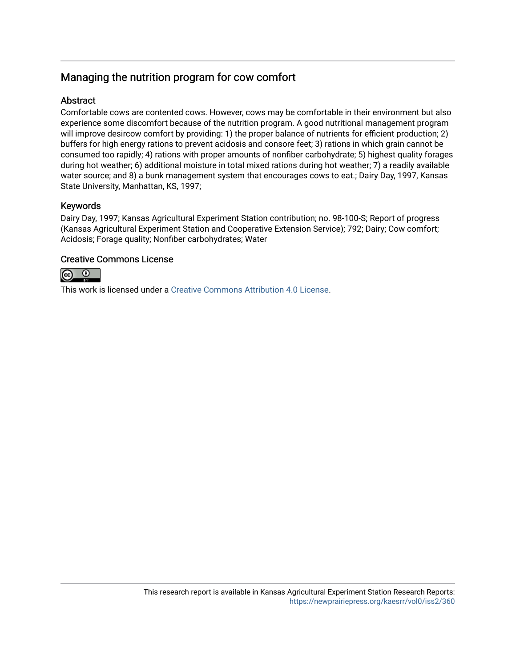## Managing the nutrition program for cow comfort

### **Abstract**

Comfortable cows are contented cows. However, cows may be comfortable in their environment but also experience some discomfort because of the nutrition program. A good nutritional management program will improve desircow comfort by providing: 1) the proper balance of nutrients for efficient production; 2) buffers for high energy rations to prevent acidosis and consore feet; 3) rations in which grain cannot be consumed too rapidly; 4) rations with proper amounts of nonfiber carbohydrate; 5) highest quality forages during hot weather; 6) additional moisture in total mixed rations during hot weather; 7) a readily available water source; and 8) a bunk management system that encourages cows to eat.; Dairy Day, 1997, Kansas State University, Manhattan, KS, 1997;

### Keywords

Dairy Day, 1997; Kansas Agricultural Experiment Station contribution; no. 98-100-S; Report of progress (Kansas Agricultural Experiment Station and Cooperative Extension Service); 792; Dairy; Cow comfort; Acidosis; Forage quality; Nonfiber carbohydrates; Water

### Creative Commons License



This work is licensed under a [Creative Commons Attribution 4.0 License](https://creativecommons.org/licenses/by/4.0/).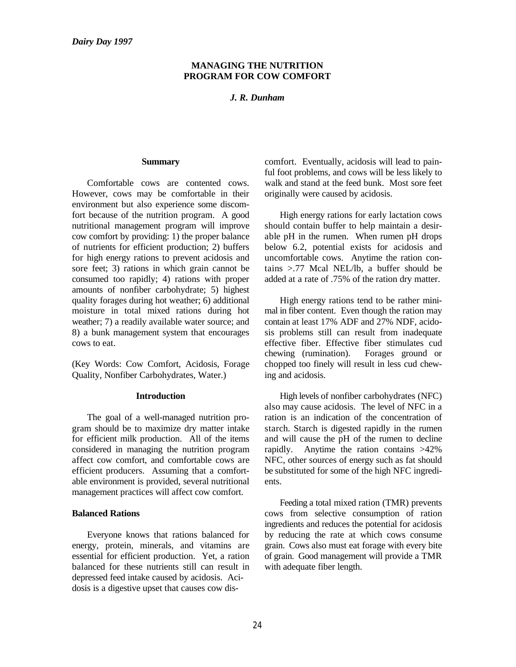### **MANAGING THE NUTRITION PROGRAM FOR COW COMFORT**

#### *J. R. Dunham*

However, cows may be comfortable in their originally were caused by acidosis. environment but also experience some discomfort because of the nutrition program. A good High energy rations for early lactation cows nutritional management program will improve should contain buffer to help maintain a desir-<br>cow comfort by providing: 1) the proper balance able pH in the rumen. When rumen pH drops cow comfort by providing: 1) the proper balance of nutrients for efficient production; 2) buffers below 6.2, potential exists for acidosis and for high energy rations to prevent acidosis and uncomfortable cows. Anytime the ration consore feet; 3) rations in which grain cannot be tains >.77 Mcal NEL/lb, a buffer should be consumed too rapidly; 4) rations with proper added at a rate of .75% of the ration dry matter. amounts of nonfiber carbohydrate; 5) highest quality forages during hot weather; 6) additional High energy rations tend to be rather minimoisture in total mixed rations during hot mal in fiber content. Even though the ration may weather; 7) a readily available water source; and contain at least 17% ADF and 27% NDF, acidoweather; 7) a readily available water source; and 8) a bunk management system that encourages sis problems still can result from inadequate cows to eat. effective fiber. Effective fiber stimulates cud

Quality, Nonfiber Carbohydrates, Water.) ing and acidosis.

gram should be to maximize dry matter intake starch. Starch is digested rapidly in the rumen for efficient milk production. All of the items and will cause the pH of the rumen to decline considered in managing the nutrition program rapidly. Anytime the ration contains >42% affect cow comfort, and comfortable cows are NFC, other sources of energy such as fat should efficient producers. Assuming that a comfort- be substituted for some of the high NFC ingrediable environment is provided, several nutritional ents. management practices will affect cow comfort.

energy, protein, minerals, and vitamins are grain. Cows also must eat forage with every bite essential for efficient production. Yet, a ration of grain. Good management will provide a TMR balanced for these nutrients still can result in with adequate fiber length. depressed feed intake caused by acidosis. Acidosis is a digestive upset that causes cow dis-

**Summary** comfort. Eventually, acidosis will lead to pain-Comfortable cows are contented cows. walk and stand at the feed bunk. Most sore feet ful foot problems, and cows will be less likely to

(Key Words: Cow Comfort, Acidosis, Forage chopped too finely will result in less cud chewchewing (rumination). Forages ground or

**Introduction** High levels of nonfiber carbohydrates (NFC) The goal of a well-managed nutrition pro- ration is an indication of the concentration of also may cause acidosis. The level of NFC in a

**Balanced Rations CONS CONS CONS CONS CONS CONS CONS CONS CONS CONS CONS CONS CONS CONS CONS CONS CONS CONS CONS CONS CONS CONS CONS CONS CONS CONS CONS CONS CONS** Everyone knows that rations balanced for by reducing the rate at which cows consume Feeding a total mixed ration (TMR) prevents ingredients and reduces the potential for acidosis